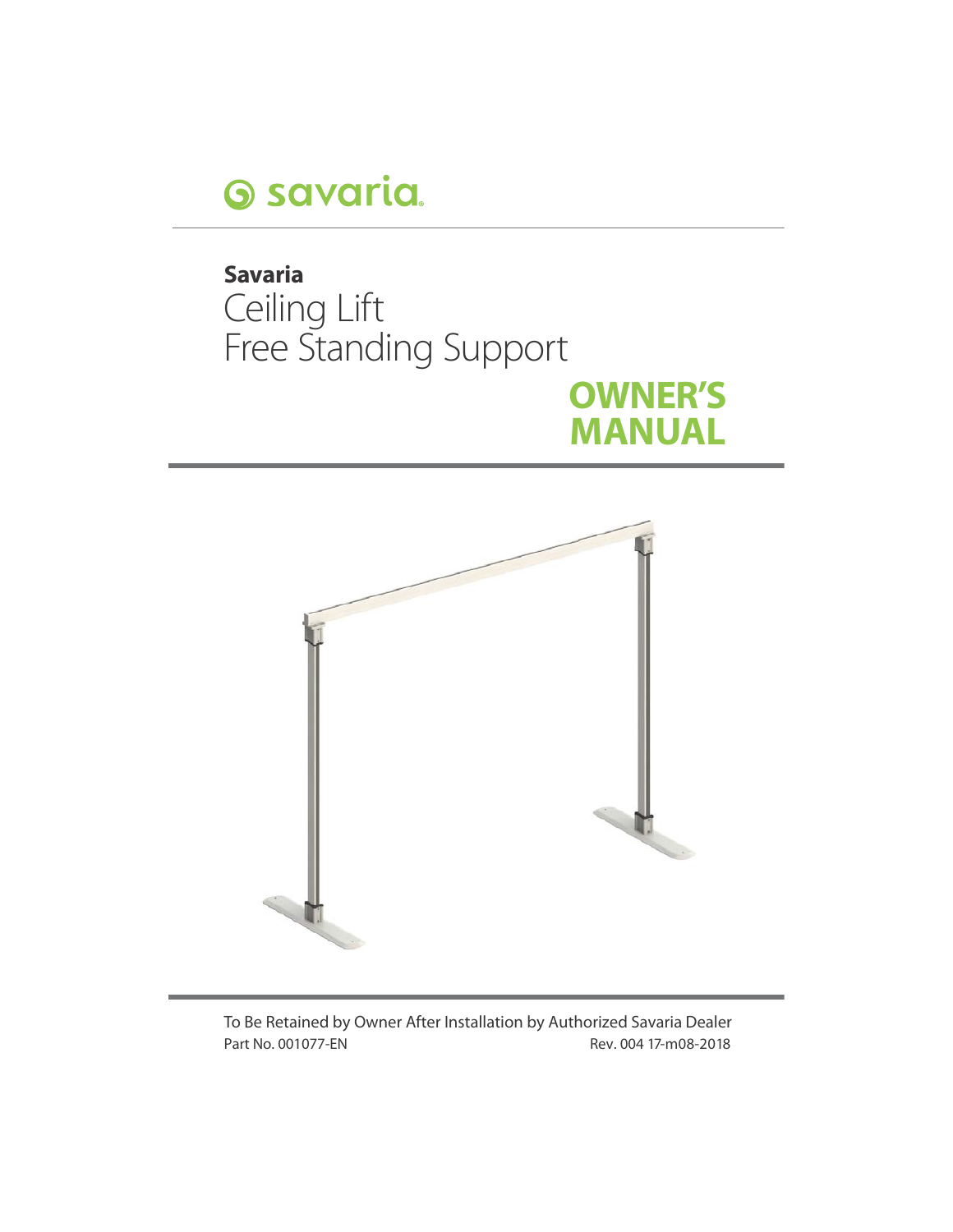

# **Savaria**  Ceiling Lift Free Standing Support **OWNER'S MANUAL**



To Be Retained by Owner After Installation by Authorized Savaria Dealer Part No. 001077-EN Rev. 004 17-m08-2018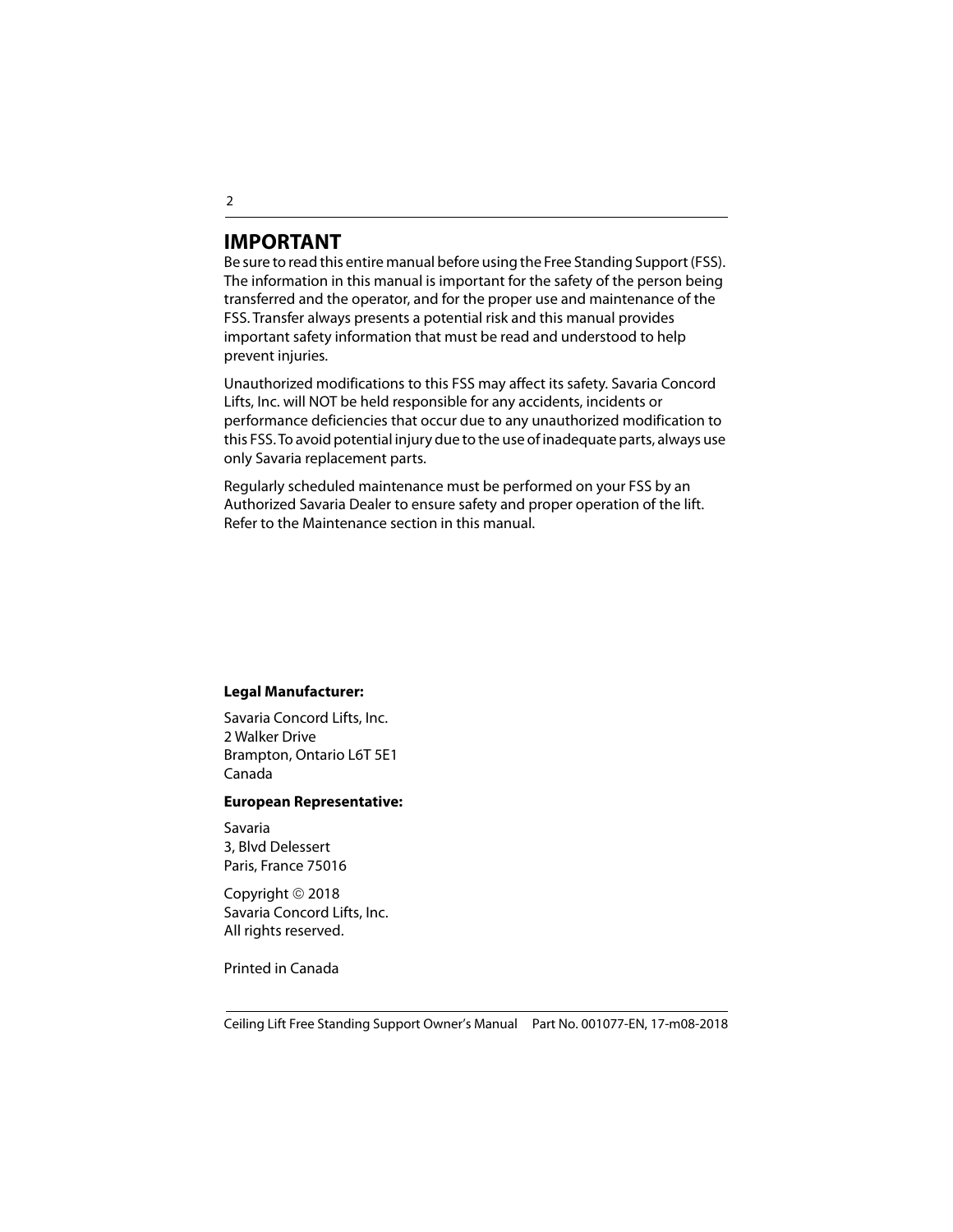### **IMPORTANT**

Be sure to read this entire manual before using the Free Standing Support (FSS). The information in this manual is important for the safety of the person being transferred and the operator, and for the proper use and maintenance of the FSS. Transfer always presents a potential risk and this manual provides important safety information that must be read and understood to help prevent injuries.

Unauthorized modifications to this FSS may affect its safety. Savaria Concord Lifts, Inc. will NOT be held responsible for any accidents, incidents or performance deficiencies that occur due to any unauthorized modification to this FSS. To avoid potential injury due to the use of inadequate parts, always use only Savaria replacement parts.

Regularly scheduled maintenance must be performed on your FSS by an Authorized Savaria Dealer to ensure safety and proper operation of the lift. Refer to the Maintenance section in this manual.

#### **Legal Manufacturer:**

Savaria Concord Lifts, Inc. 2 Walker Drive Brampton, Ontario L6T 5E1 Canada

#### **European Representative:**

Savaria 3, Blvd Delessert Paris, France 75016

Copyright © 2018 Savaria Concord Lifts, Inc. All rights reserved.

Printed in Canada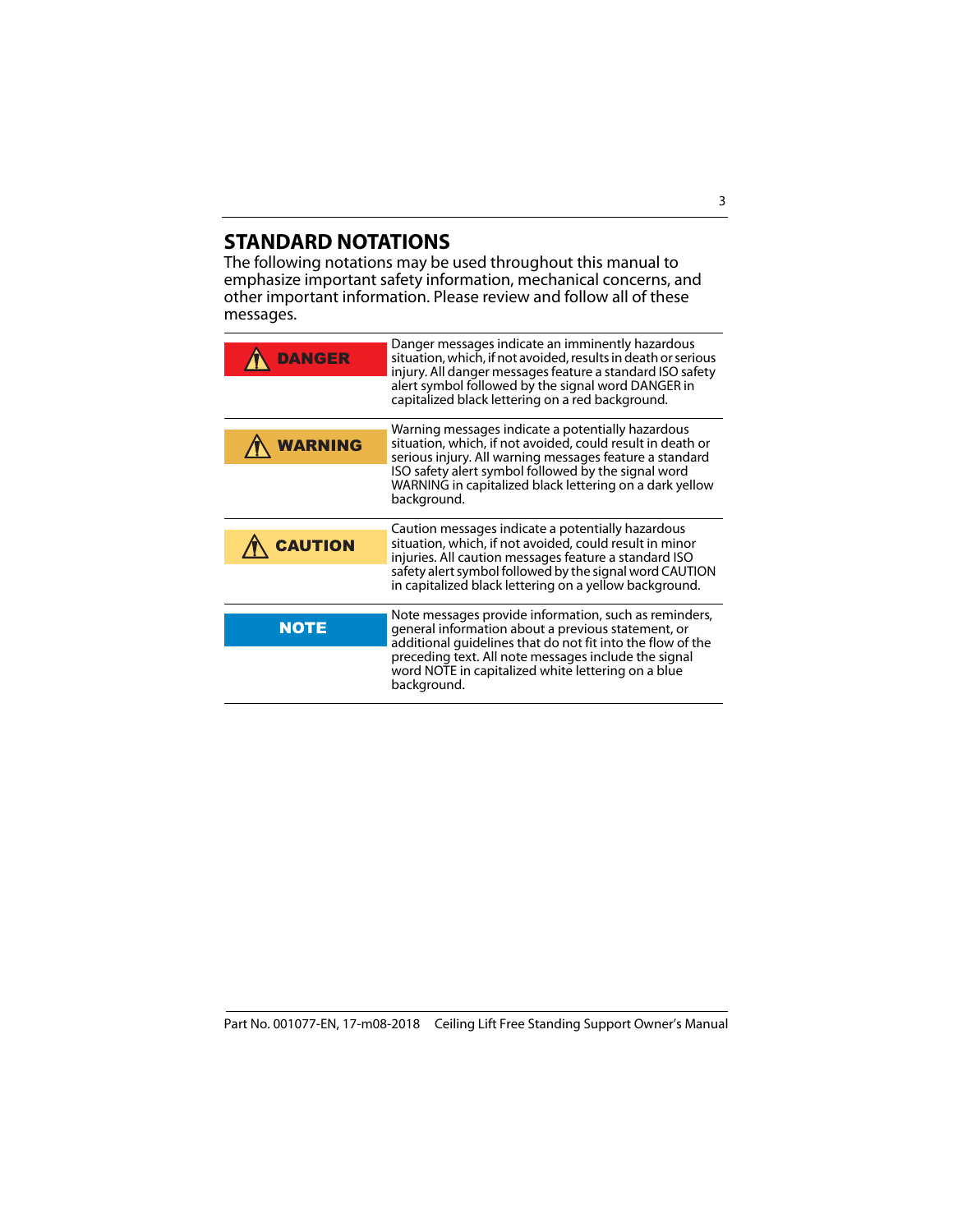### **STANDARD NOTATIONS**

The following notations may be used throughout this manual to emphasize important safety information, mechanical concerns, and other important information. Please review and follow all of these messages.

| DANGER      | Danger messages indicate an imminently hazardous<br>situation, which, if not avoided, results in death or serious<br>injury. All danger messages feature a standard ISO safety<br>alert symbol followed by the signal word DANGER in<br>capitalized black lettering on a red background.                    |
|-------------|-------------------------------------------------------------------------------------------------------------------------------------------------------------------------------------------------------------------------------------------------------------------------------------------------------------|
|             | Warning messages indicate a potentially hazardous<br>situation, which, if not avoided, could result in death or<br>serious injury. All warning messages feature a standard<br>ISO safety alert symbol followed by the signal word<br>WARNING in capitalized black lettering on a dark yellow<br>background. |
| CAUTION     | Caution messages indicate a potentially hazardous<br>situation, which, if not avoided, could result in minor<br>injuries. All caution messages feature a standard ISO<br>safety alert symbol followed by the signal word CAUTION<br>in capitalized black lettering on a yellow background.                  |
| <b>NOTE</b> | Note messages provide information, such as reminders,<br>general information about a previous statement, or<br>additional guidelines that do not fit into the flow of the<br>preceding text. All note messages include the signal<br>word NOTE in capitalized white lettering on a blue<br>background.      |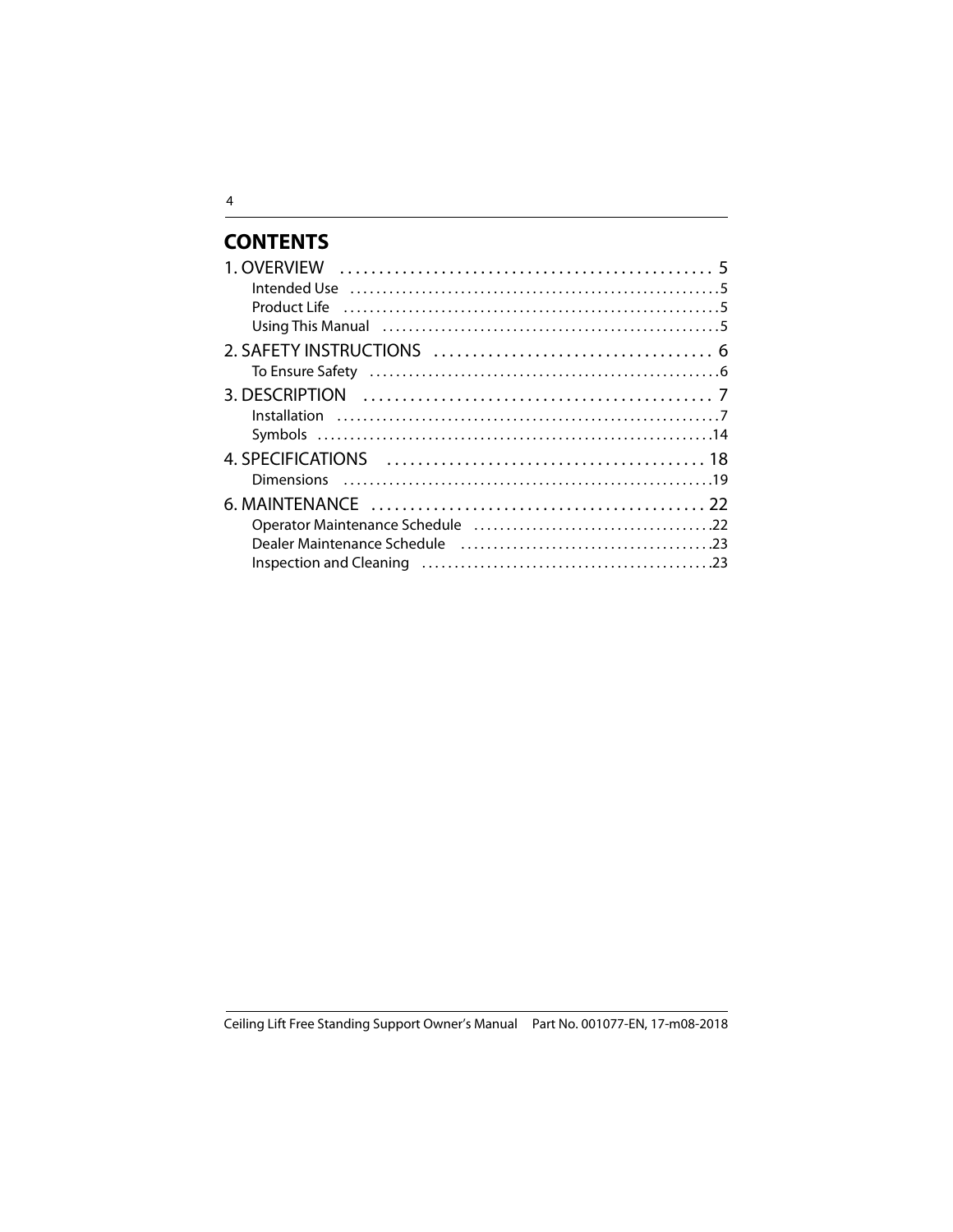### **CONTENTS**

| Using This Manual (and the continuum control of the Using This Manual (and the continuum). |  |
|--------------------------------------------------------------------------------------------|--|
|                                                                                            |  |
|                                                                                            |  |
|                                                                                            |  |
|                                                                                            |  |
|                                                                                            |  |
|                                                                                            |  |
|                                                                                            |  |
|                                                                                            |  |
|                                                                                            |  |
|                                                                                            |  |
|                                                                                            |  |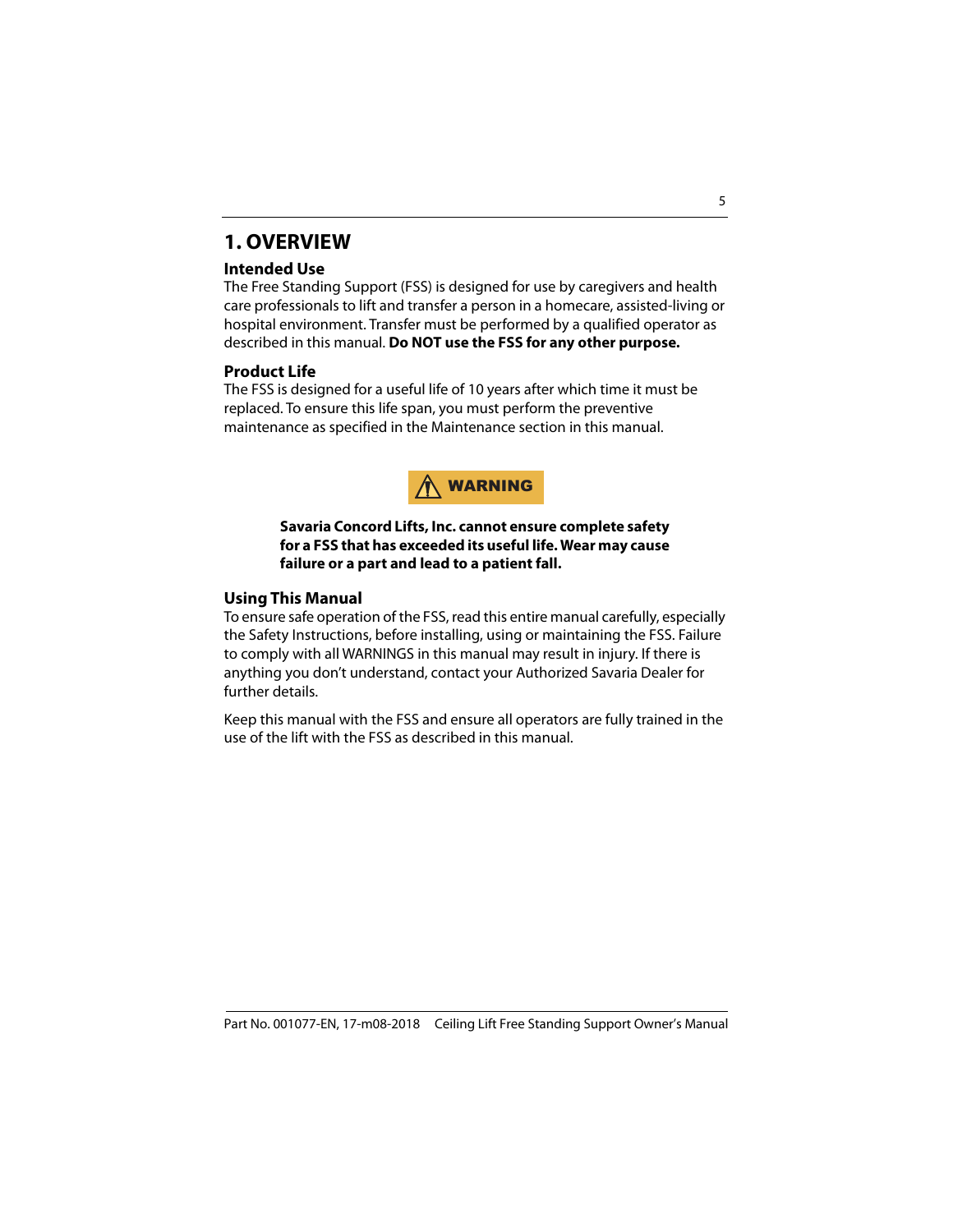### <span id="page-4-0"></span>**1. OVERVIEW**

#### **Intended Use**

The Free Standing Support (FSS) is designed for use by caregivers and health care professionals to lift and transfer a person in a homecare, assisted-living or hospital environment. Transfer must be performed by a qualified operator as described in this manual. **Do NOT use the FSS for any other purpose.**

#### **Product Life**

The FSS is designed for a useful life of 10 years after which time it must be replaced. To ensure this life span, you must perform the preventive maintenance as specified in the Maintenance section in this manual.



#### **Savaria Concord Lifts, Inc. cannot ensure complete safety for a FSS that has exceeded its useful life. Wear may cause failure or a part and lead to a patient fall.**

#### <span id="page-4-1"></span>**Using This Manual**

To ensure safe operation of the FSS, read this entire manual carefully, especially the Safety Instructions, before installing, using or maintaining the FSS. Failure to comply with all WARNINGS in this manual may result in injury. If there is anything you don't understand, contact your Authorized Savaria Dealer for further details.

Keep this manual with the FSS and ensure all operators are fully trained in the use of the lift with the FSS as described in this manual.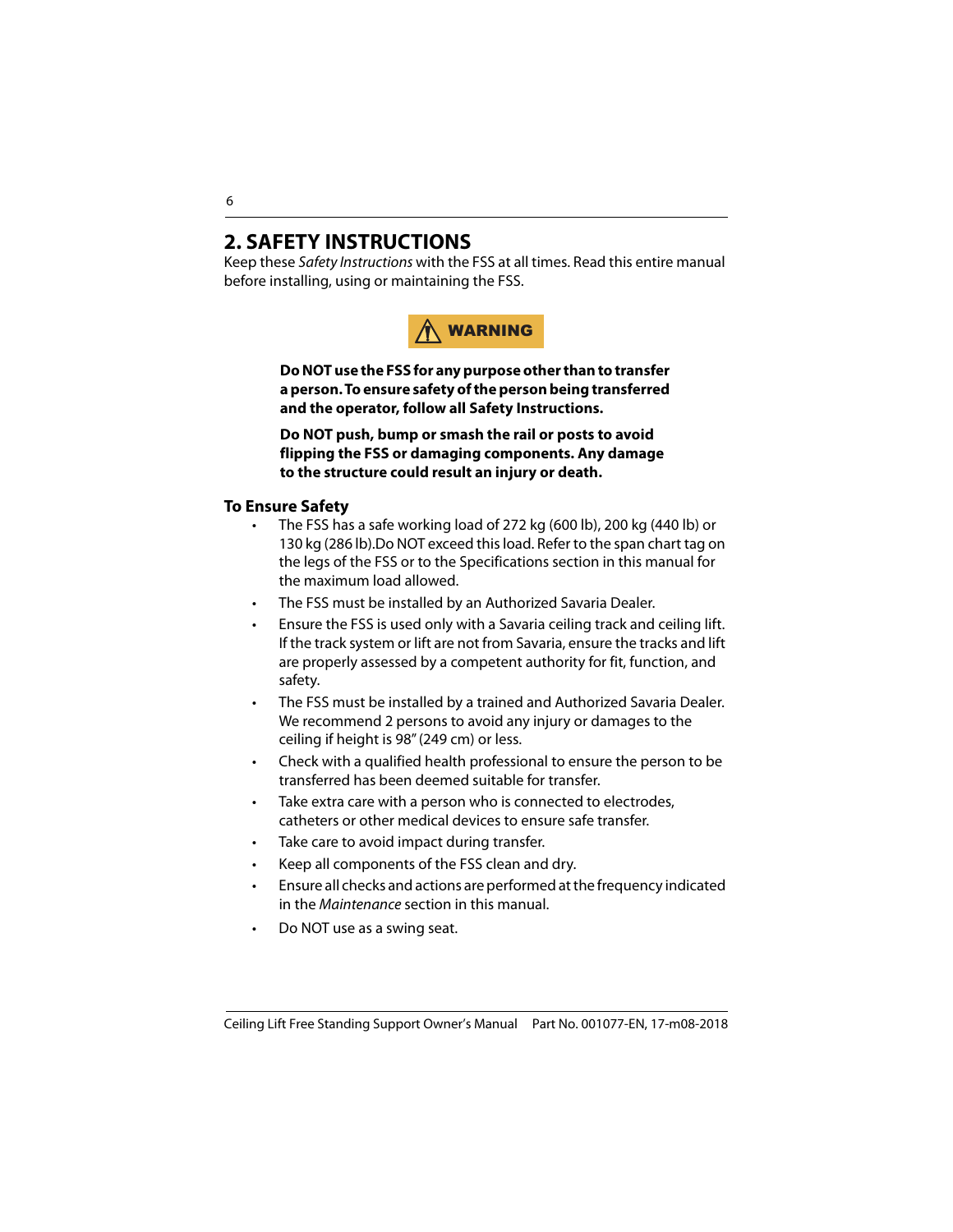### <span id="page-5-0"></span>**2. SAFETY INSTRUCTIONS**

Keep these Safety Instructions with the FSS at all times. Read this entire manual before installing, using or maintaining the FSS.



**Do NOT use the FSS for any purpose other than to transfer a person. To ensure safety of the person being transferred and the operator, follow all Safety Instructions.** 

**Do NOT push, bump or smash the rail or posts to avoid flipping the FSS or damaging components. Any damage to the structure could result an injury or death.**

#### <span id="page-5-1"></span>**To Ensure Safety**

- The FSS has a safe working load of 272 kg (600 lb), 200 kg (440 lb) or 130 kg (286 lb).Do NOT exceed this load. Refer to the span chart tag on the legs of the FSS or to the Specifications section in this manual for the maximum load allowed.
- The FSS must be installed by an Authorized Savaria Dealer.
- Ensure the FSS is used only with a Savaria ceiling track and ceiling lift. If the track system or lift are not from Savaria, ensure the tracks and lift are properly assessed by a competent authority for fit, function, and safety.
- The FSS must be installed by a trained and Authorized Savaria Dealer. We recommend 2 persons to avoid any injury or damages to the ceiling if height is 98" (249 cm) or less.
- Check with a qualified health professional to ensure the person to be transferred has been deemed suitable for transfer.
- Take extra care with a person who is connected to electrodes, catheters or other medical devices to ensure safe transfer.
- Take care to avoid impact during transfer.
- Keep all components of the FSS clean and dry.
- Ensure all checks and actions are performed at the frequency indicated in the Maintenance section in this manual.
- Do NOT use as a swing seat.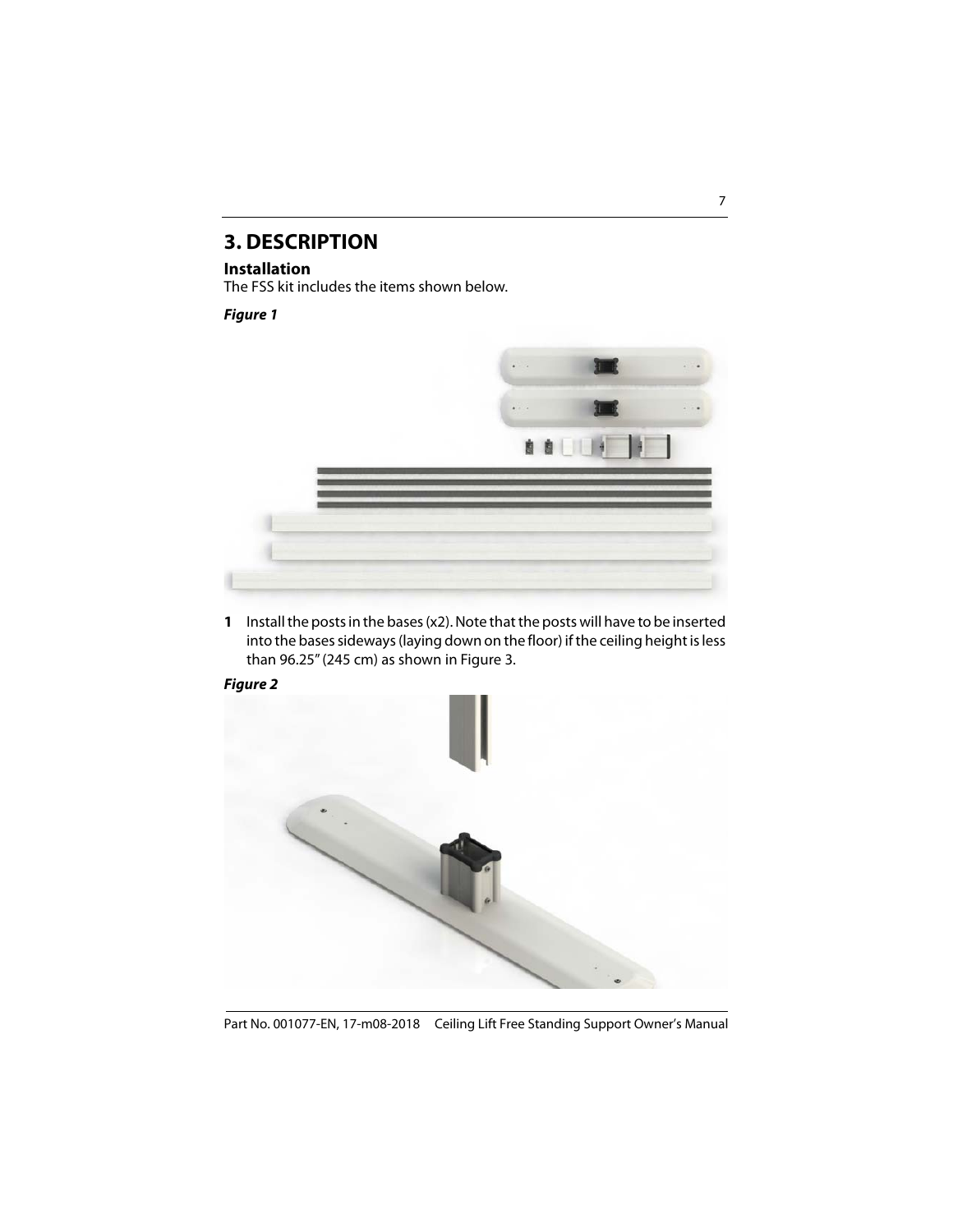### <span id="page-6-0"></span>**3. DESCRIPTION**

#### <span id="page-6-1"></span>**Installation**

The FSS kit includes the items shown below.

#### **Figure 1**



**1** Install the posts in the bases (x2). Note that the posts will have to be inserted into the bases sideways (laying down on the floor) if the ceiling height is less than 96.25" (245 cm) as shown in Figure 3.



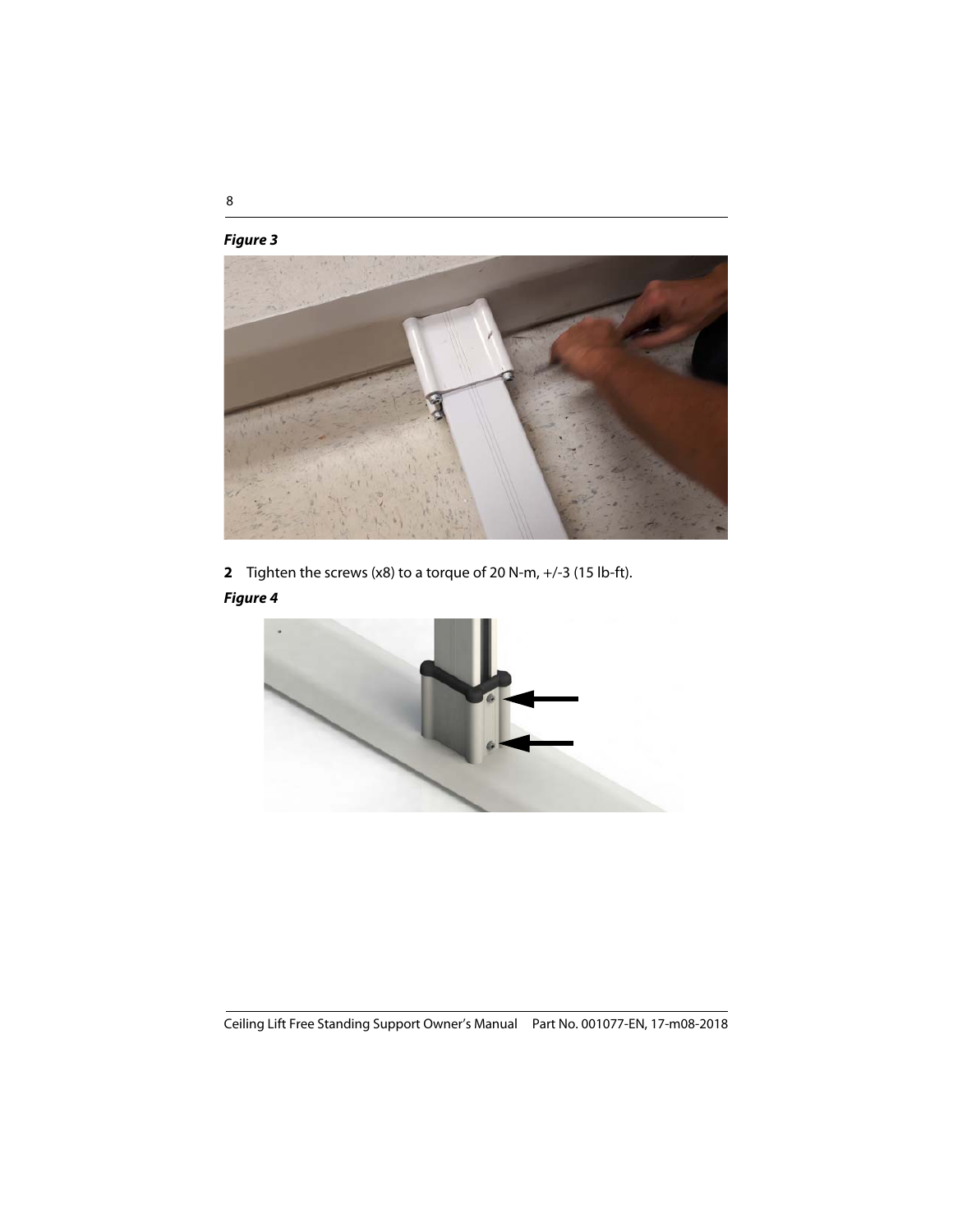#### **Figure 3**



**2** Tighten the screws (x8) to a torque of 20 N-m, +/-3 (15 lb-ft).

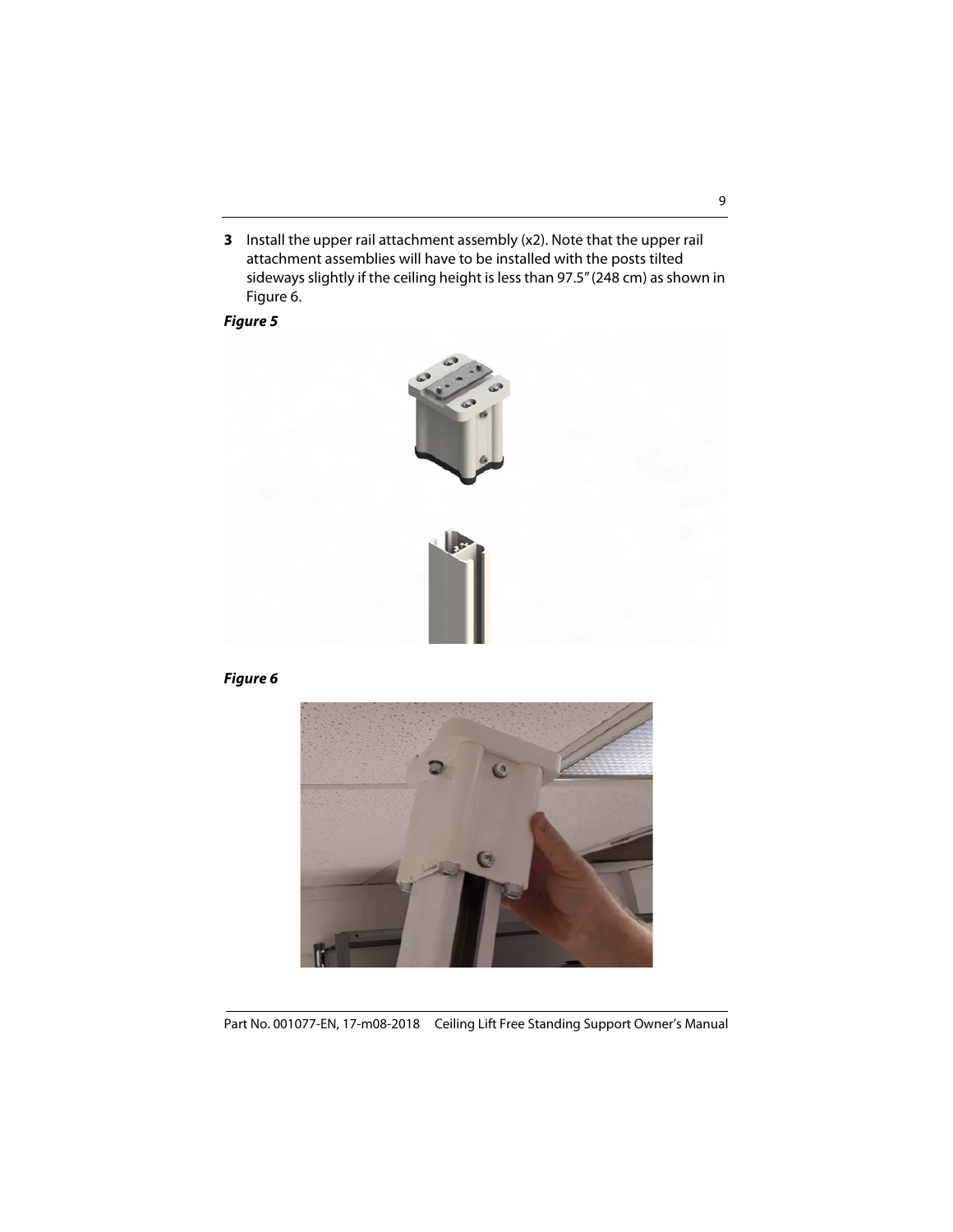**3** Install the upper rail attachment assembly (x2). Note that the upper rail attachment assemblies will have to be installed with the posts tilted sideways slightly if the ceiling height is less than 97.5" (248 cm) as shown in Figure 6.

#### **Figure 5**



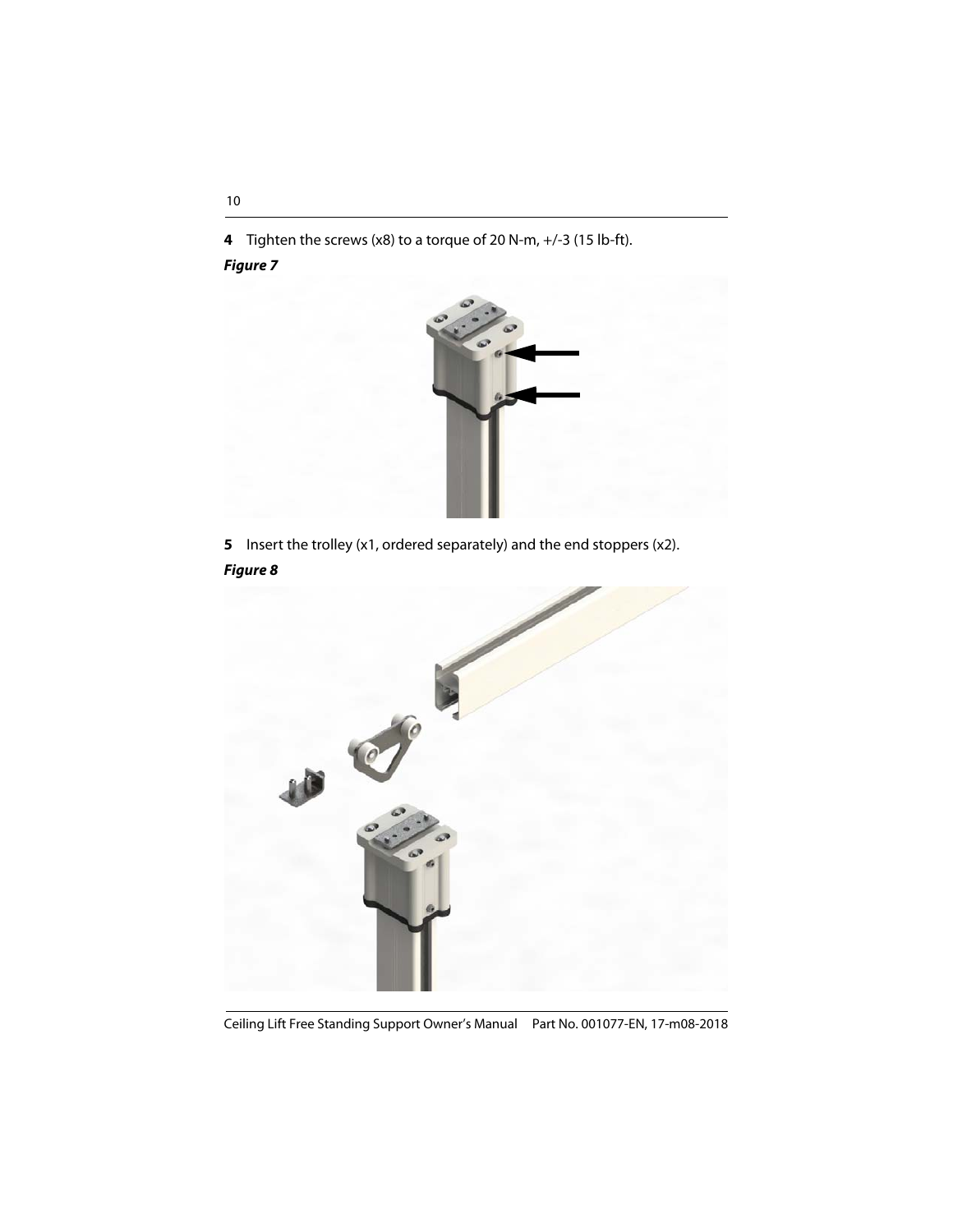**4** Tighten the screws (x8) to a torque of 20 N-m, +/-3 (15 lb-ft).

#### **Figure 7**



**5** Insert the trolley (x1, ordered separately) and the end stoppers (x2). **Figure 8**

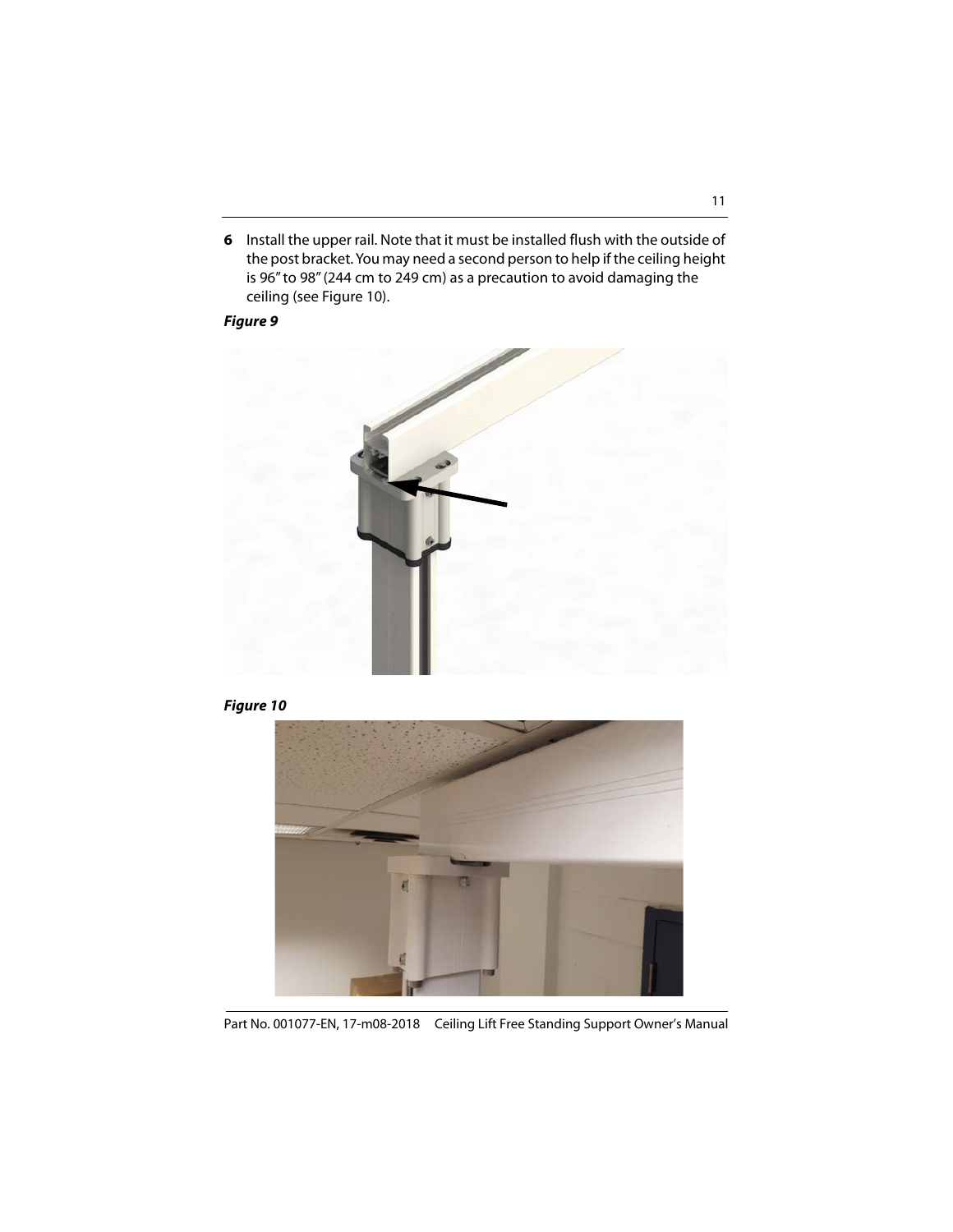**6** Install the upper rail. Note that it must be installed flush with the outside of the post bracket. You may need a second person to help if the ceiling height is 96" to 98" (244 cm to 249 cm) as a precaution to avoid damaging the ceiling (see Figure 10).

**Figure 9**



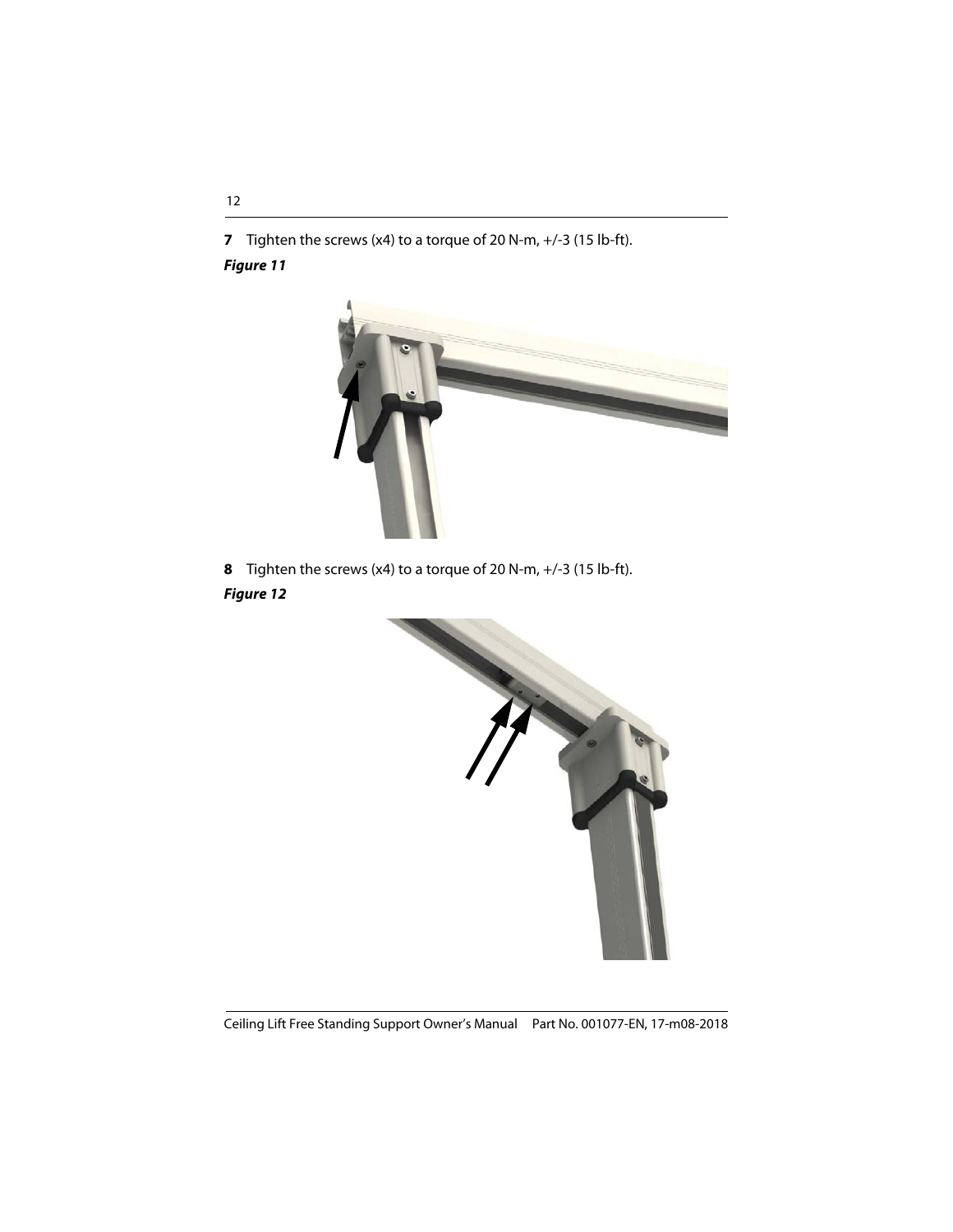**7** Tighten the screws (x4) to a torque of 20 N-m, +/-3 (15 lb-ft).

#### **Figure 11**



**8** Tighten the screws (x4) to a torque of 20 N-m, +/-3 (15 lb-ft).

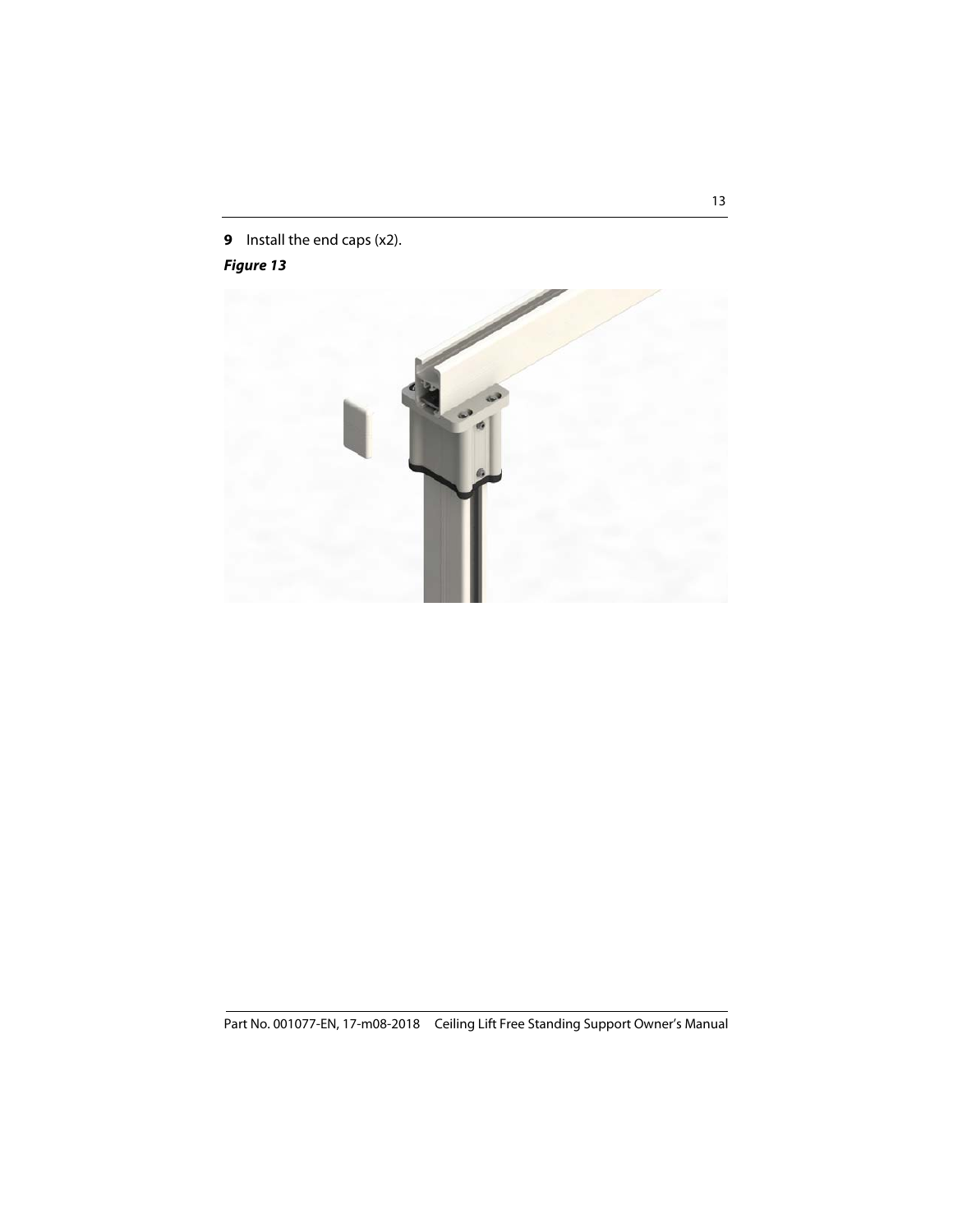**9** Install the end caps (x2).

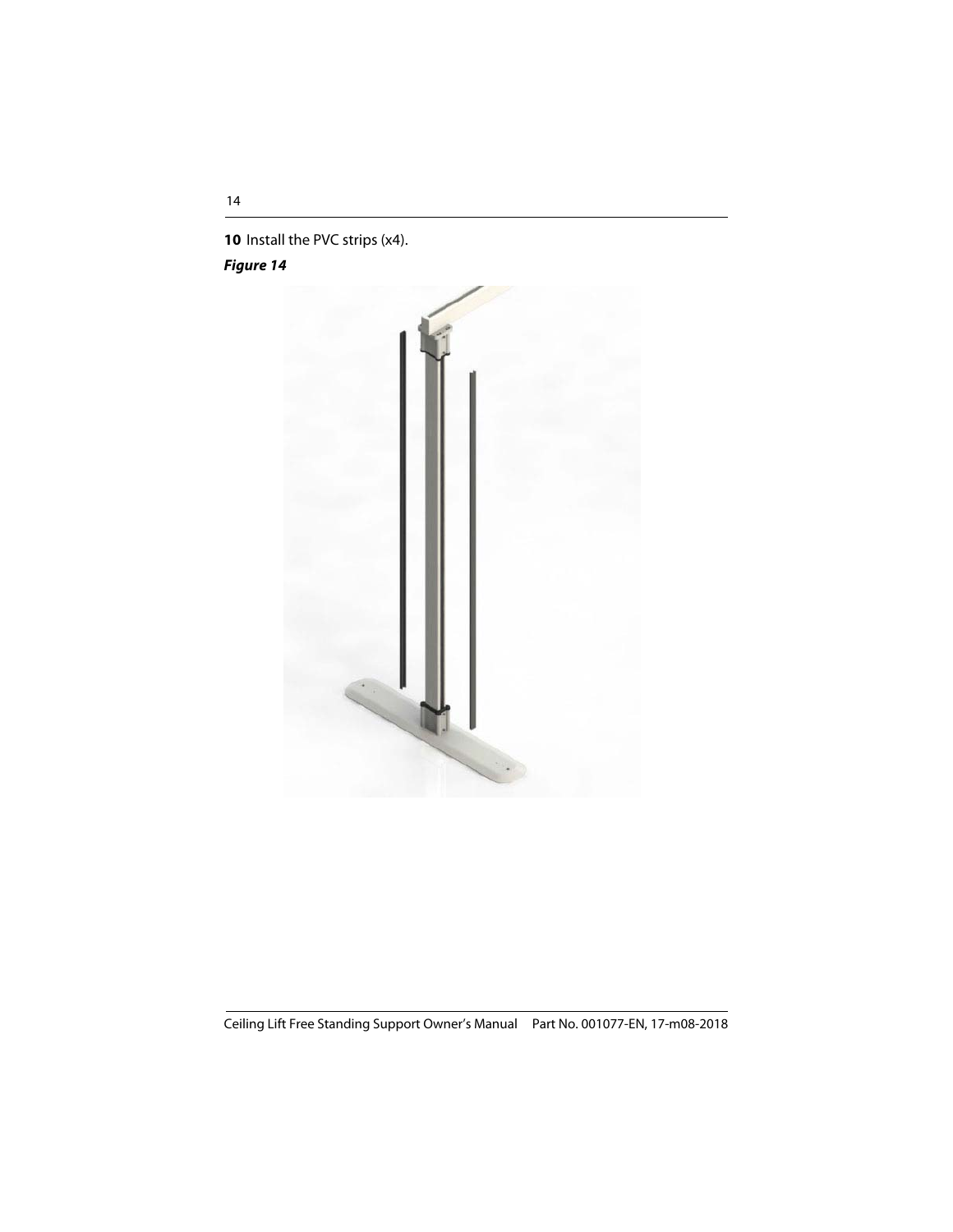**10** Install the PVC strips (x4).

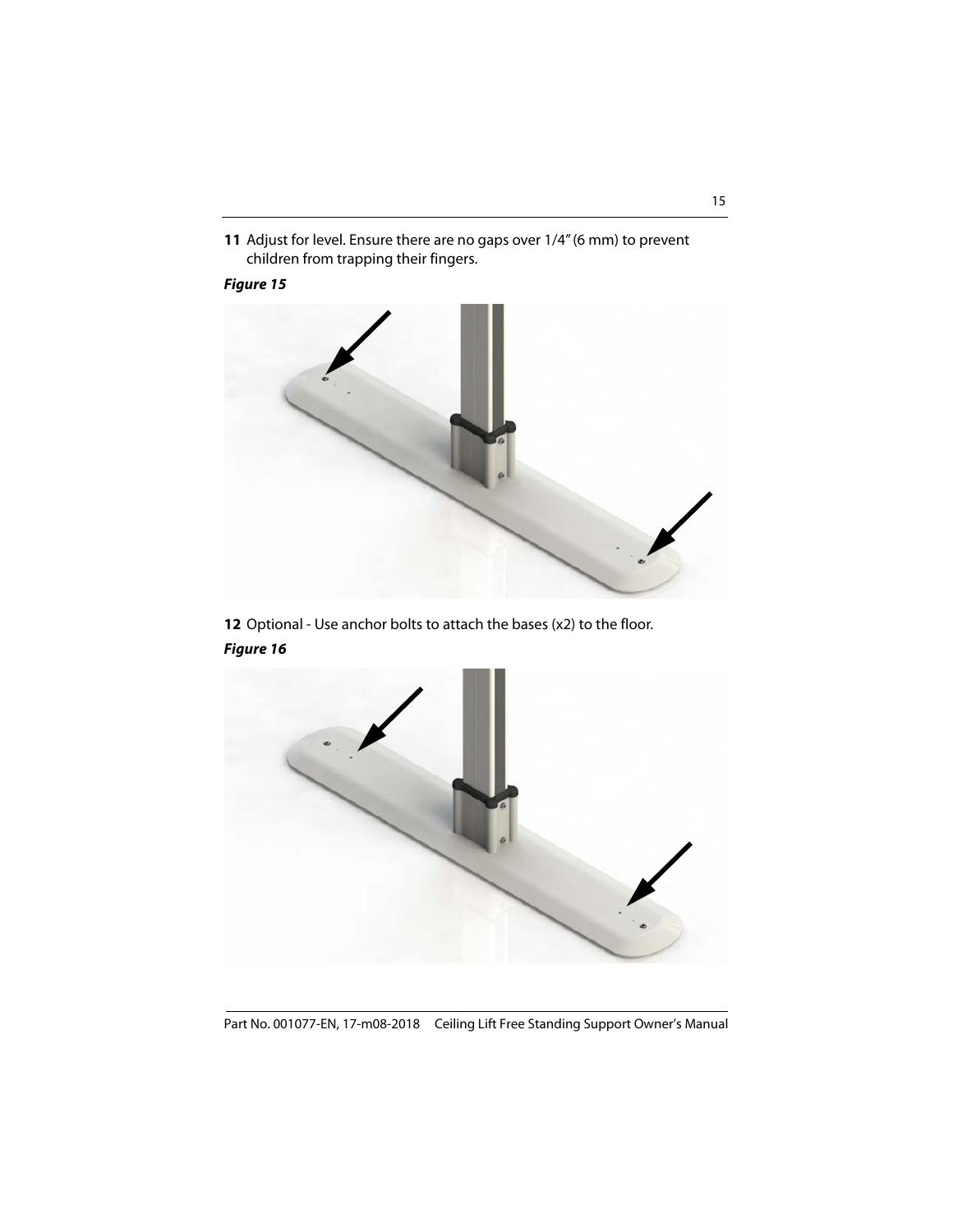**11** Adjust for level. Ensure there are no gaps over 1/4" (6 mm) to prevent children from trapping their fingers.

#### **Figure 15**



**12** Optional - Use anchor bolts to attach the bases (x2) to the floor.



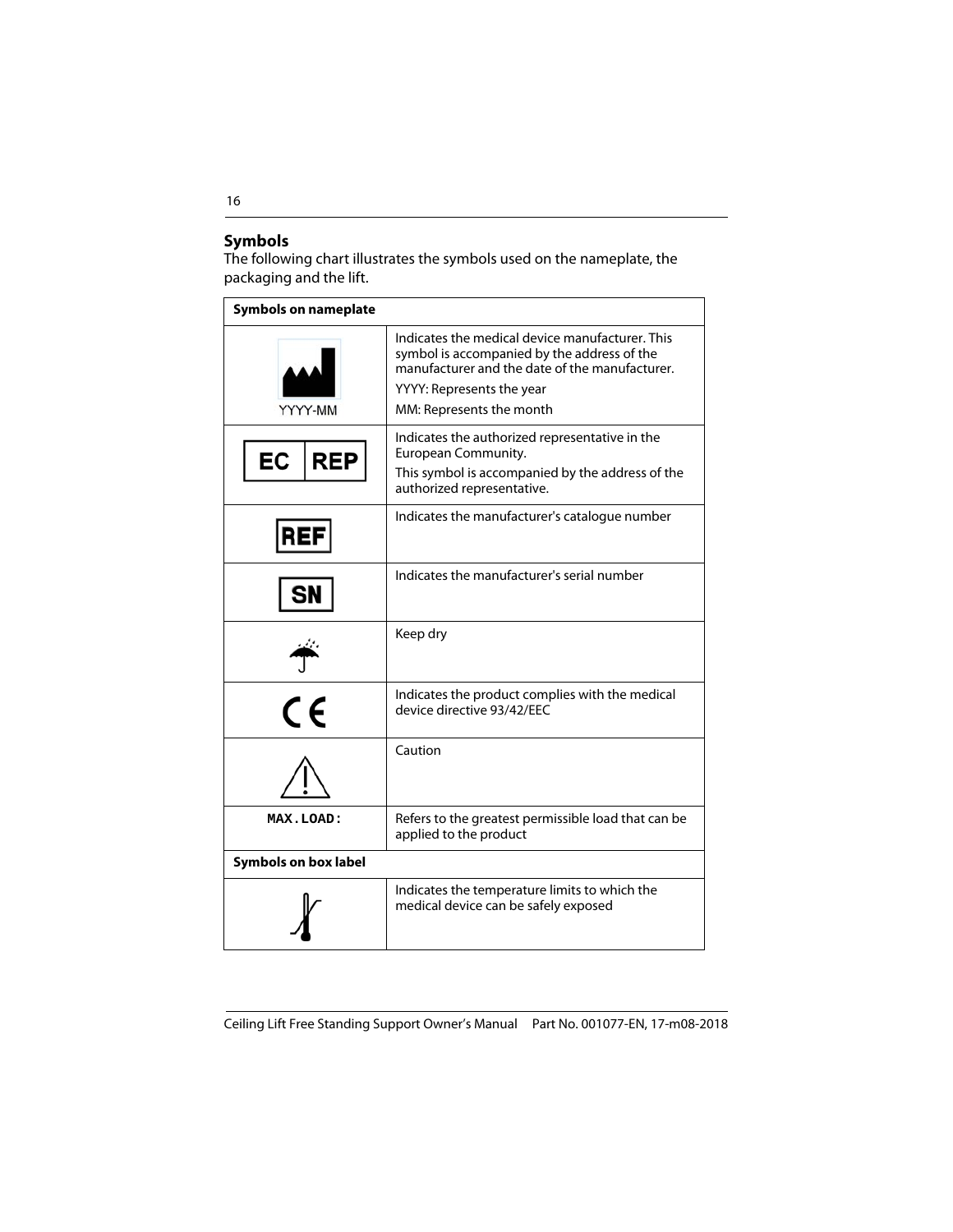#### **Symbols**

The following chart illustrates the symbols used on the nameplate, the packaging and the lift.

| <b>Symbols on nameplate</b> |                                                                                                                                                                                                           |
|-----------------------------|-----------------------------------------------------------------------------------------------------------------------------------------------------------------------------------------------------------|
| YYYY-MM                     | Indicates the medical device manufacturer. This<br>symbol is accompanied by the address of the<br>manufacturer and the date of the manufacturer.<br>YYYY: Represents the year<br>MM: Represents the month |
| EC<br><b>REP</b>            | Indicates the authorized representative in the<br>European Community.<br>This symbol is accompanied by the address of the<br>authorized representative.                                                   |
|                             | Indicates the manufacturer's catalogue number                                                                                                                                                             |
|                             | Indicates the manufacturer's serial number                                                                                                                                                                |
|                             | Keep dry                                                                                                                                                                                                  |
| $\epsilon$                  | Indicates the product complies with the medical<br>device directive 93/42/EEC                                                                                                                             |
|                             | Caution                                                                                                                                                                                                   |
| MAX.LOAD:                   | Refers to the greatest permissible load that can be<br>applied to the product                                                                                                                             |
| <b>Symbols on box label</b> |                                                                                                                                                                                                           |
|                             | Indicates the temperature limits to which the<br>medical device can be safely exposed                                                                                                                     |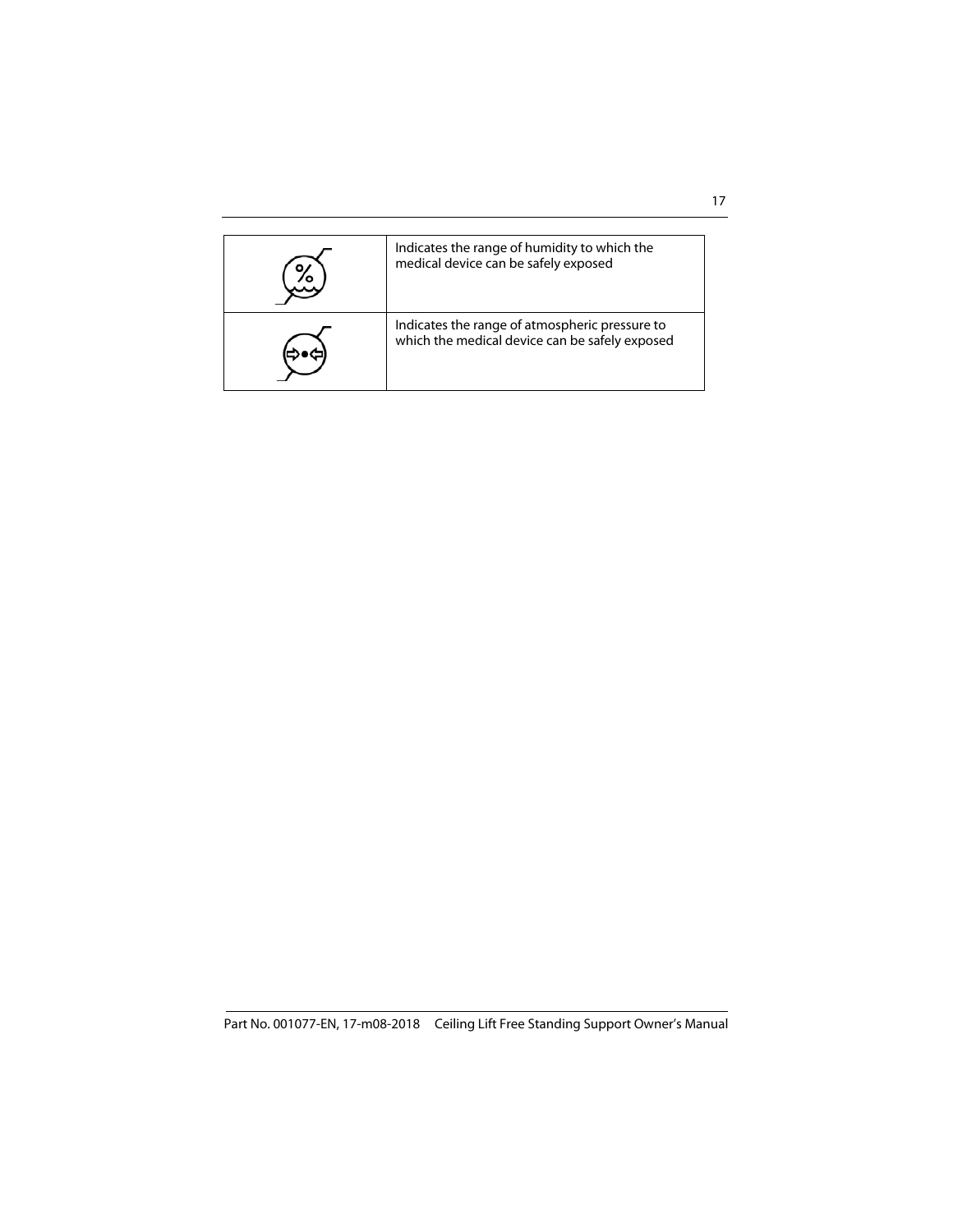| Indicates the range of humidity to which the<br>medical device can be safely exposed             |
|--------------------------------------------------------------------------------------------------|
| Indicates the range of atmospheric pressure to<br>which the medical device can be safely exposed |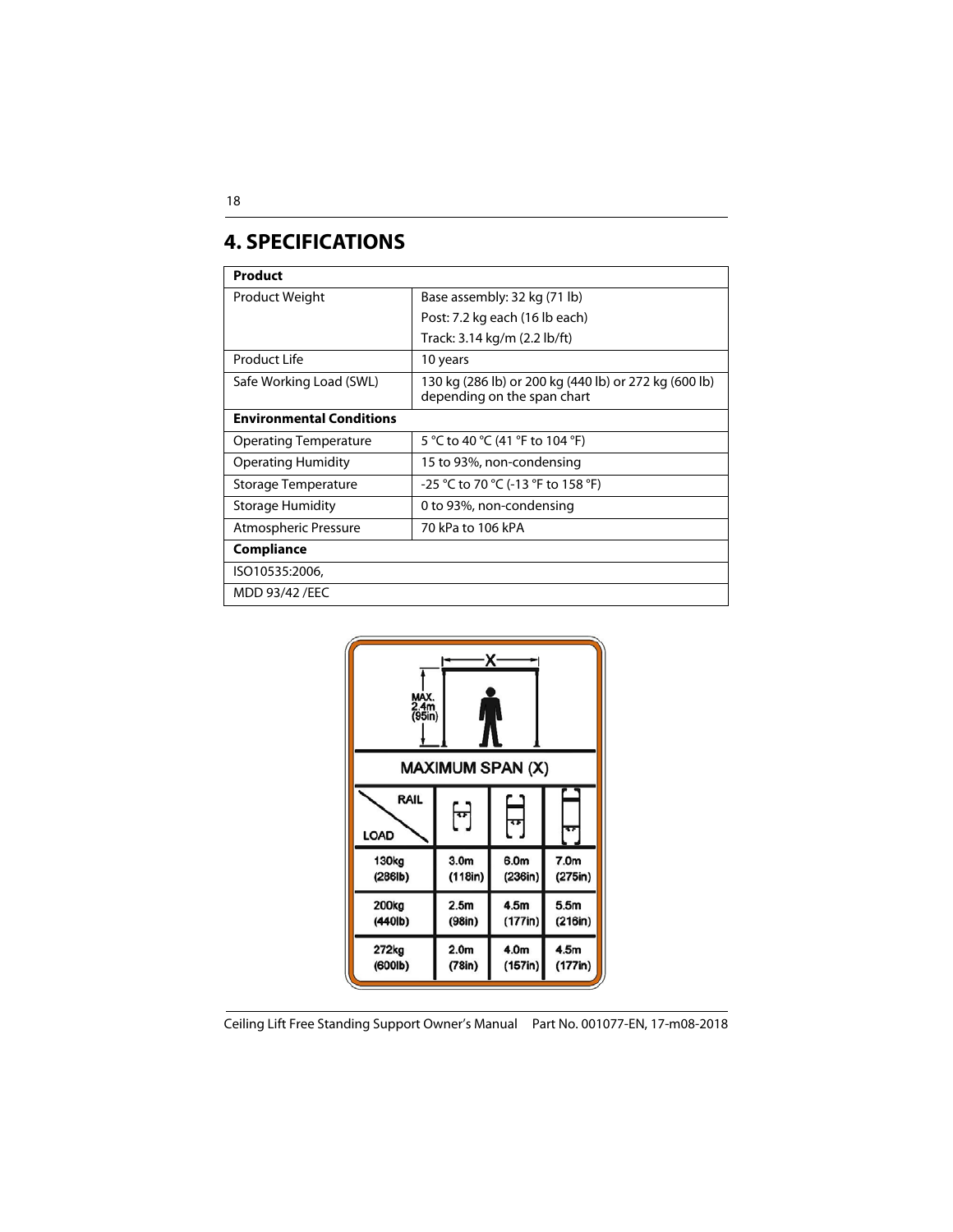### **4. SPECIFICATIONS**

| Product                         |                                                                                      |  |
|---------------------------------|--------------------------------------------------------------------------------------|--|
| Product Weight                  | Base assembly: 32 kg (71 lb)                                                         |  |
|                                 | Post: 7.2 kg each (16 lb each)                                                       |  |
|                                 | Track: 3.14 kg/m (2.2 lb/ft)                                                         |  |
| Product Life                    | 10 years                                                                             |  |
| Safe Working Load (SWL)         | 130 kg (286 lb) or 200 kg (440 lb) or 272 kg (600 lb)<br>depending on the span chart |  |
| <b>Environmental Conditions</b> |                                                                                      |  |
| Operating Temperature           | 5 °C to 40 °C (41 °F to 104 °F)                                                      |  |
| <b>Operating Humidity</b>       | 15 to 93%, non-condensing                                                            |  |
| Storage Temperature             | -25 °C to 70 °C (-13 °F to 158 °F)                                                   |  |
| Storage Humidity                | 0 to 93%, non-condensing                                                             |  |
| Atmospheric Pressure            | 70 kPa to 106 kPA                                                                    |  |
| Compliance                      |                                                                                      |  |
| ISO10535:2006,                  |                                                                                      |  |
| MDD 93/42 / EEC                 |                                                                                      |  |

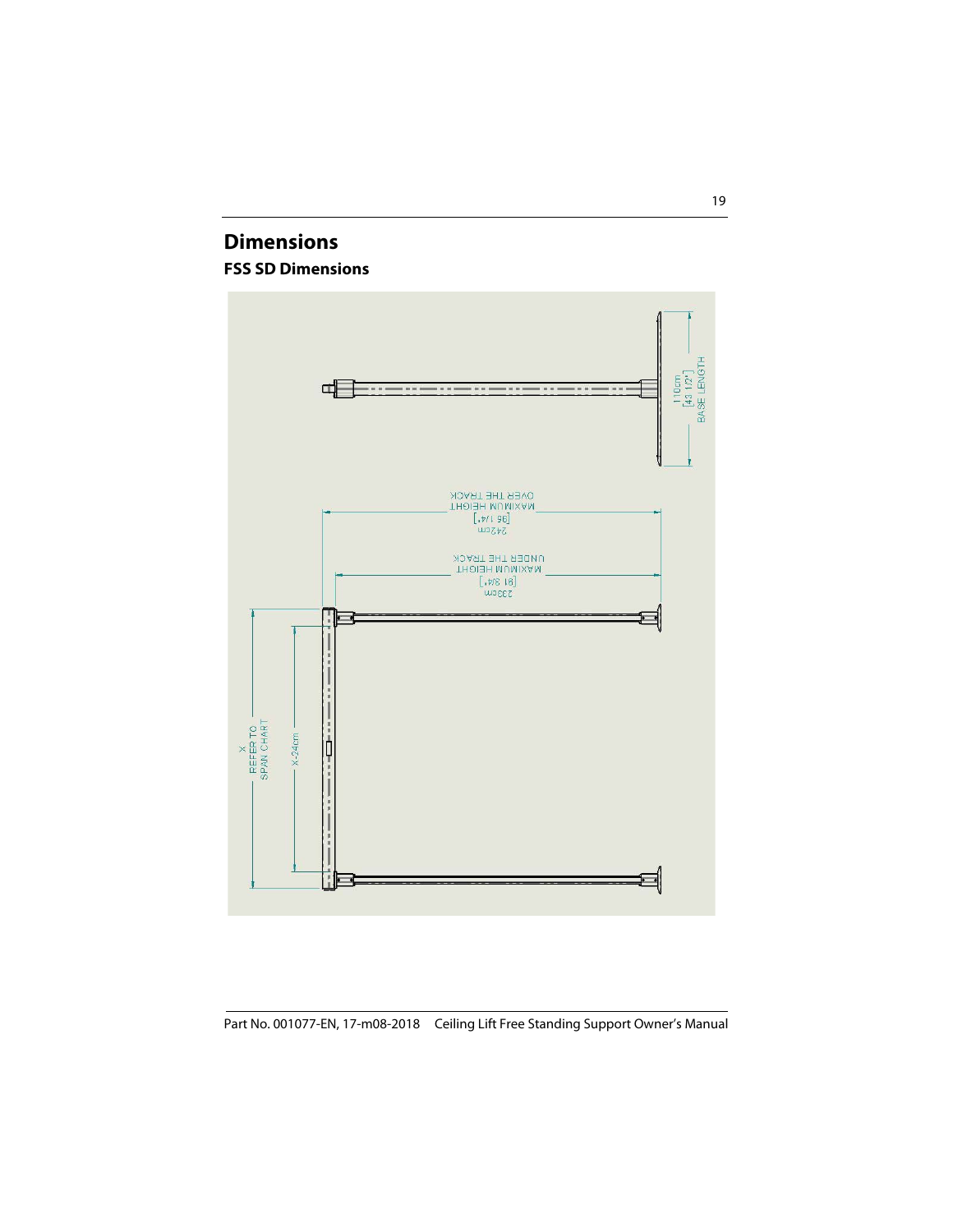### **Dimensions FSS SD Dimensions**

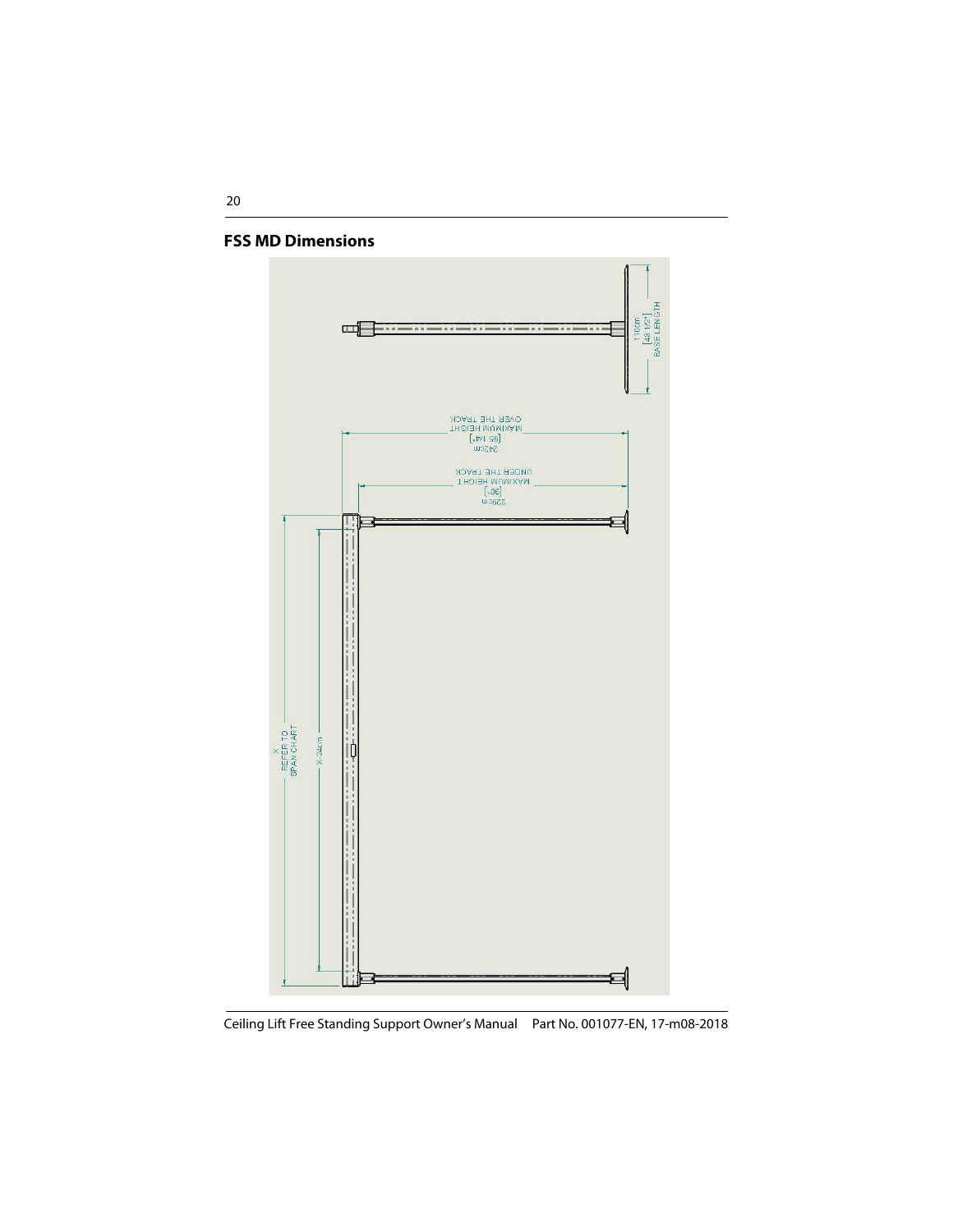

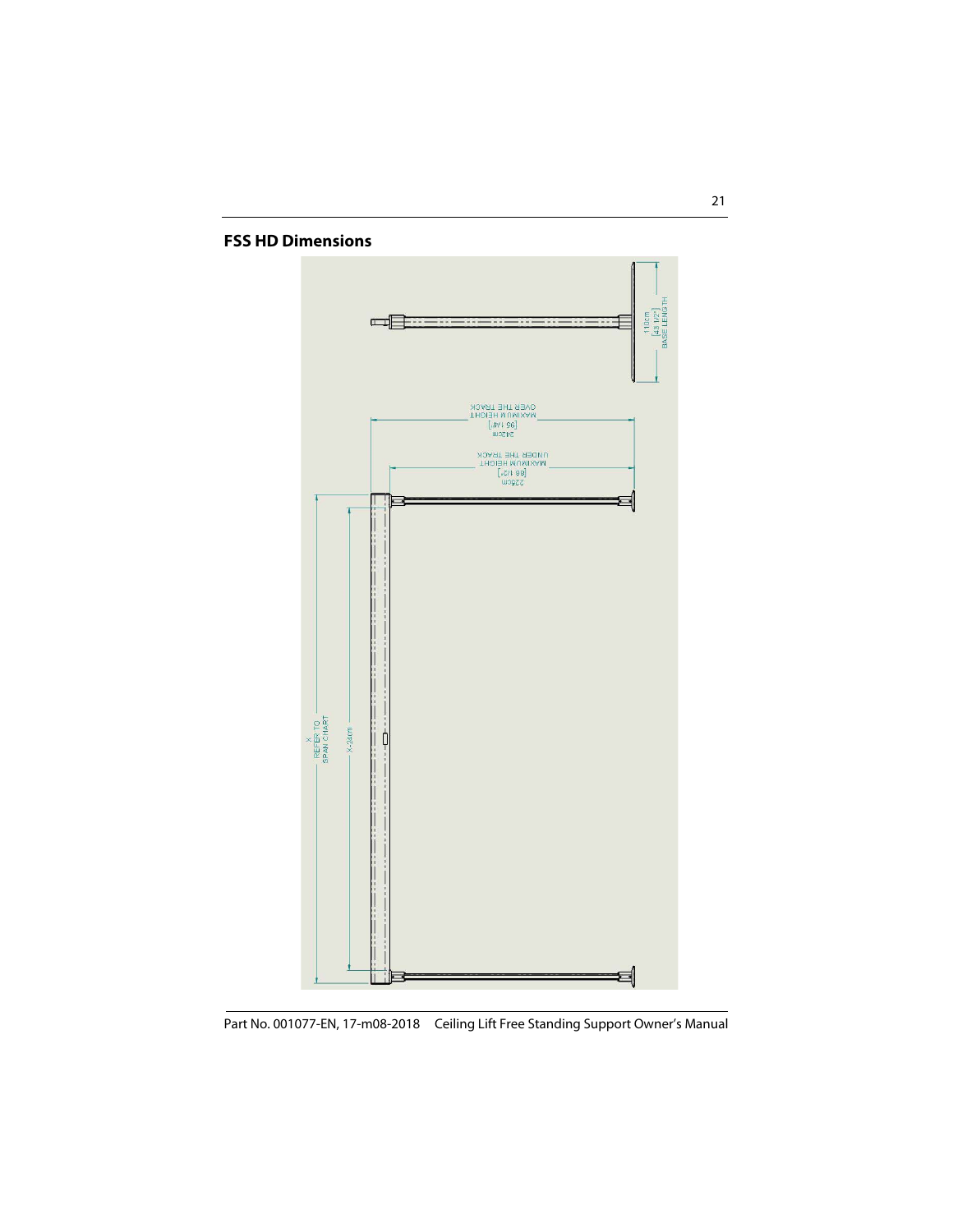#### **FSS HD Dimensions**

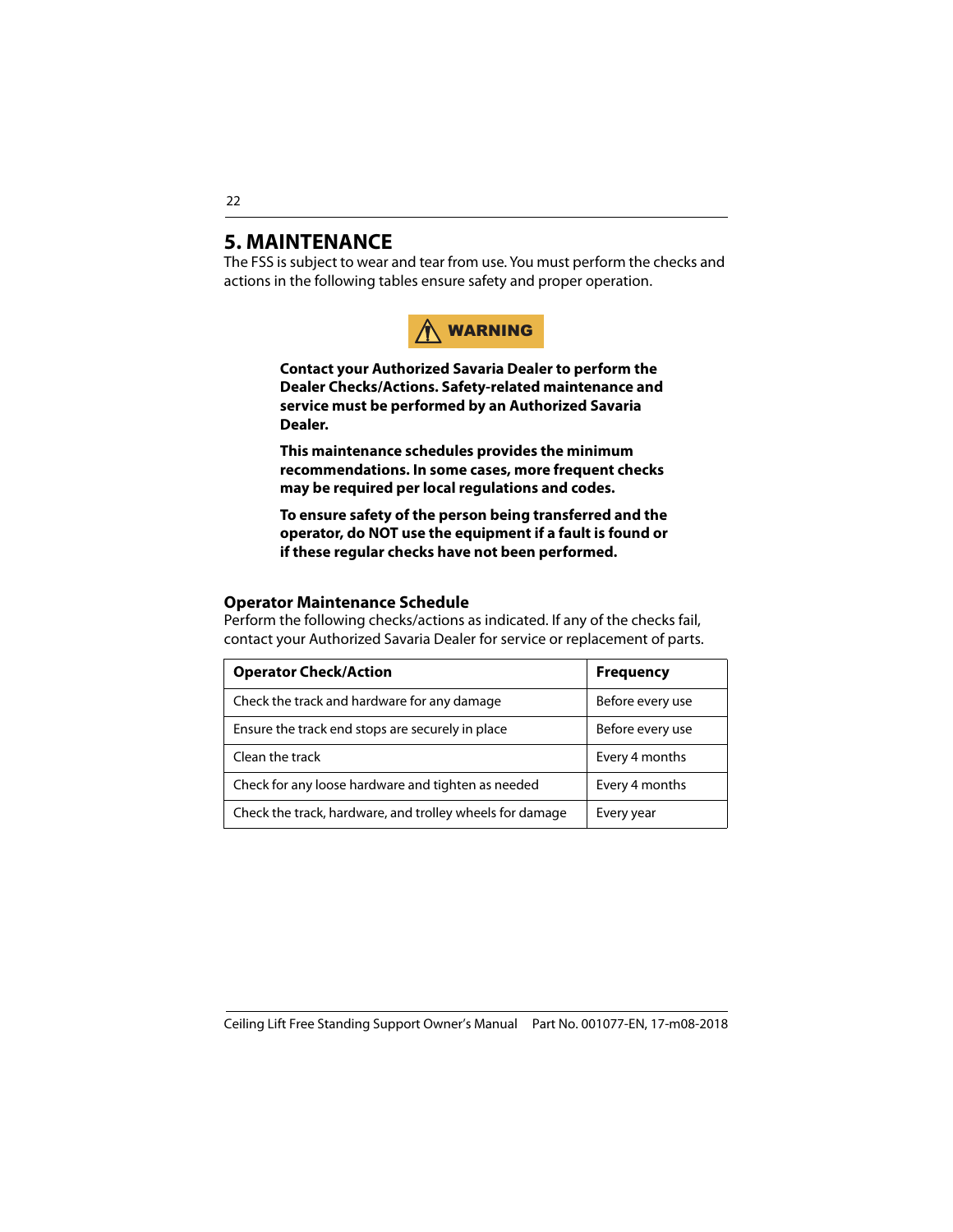### <span id="page-21-0"></span>**5. MAINTENANCE**

The FSS is subject to wear and tear from use. You must perform the checks and actions in the following tables ensure safety and proper operation.



**Contact your Authorized Savaria Dealer to perform the Dealer Checks/Actions. Safety-related maintenance and service must be performed by an Authorized Savaria Dealer.**

**This maintenance schedules provides the minimum recommendations. In some cases, more frequent checks may be required per local regulations and codes.**

**To ensure safety of the person being transferred and the operator, do NOT use the equipment if a fault is found or if these regular checks have not been performed.**

#### <span id="page-21-1"></span>**Operator Maintenance Schedule**

Perform the following checks/actions as indicated. If any of the checks fail, contact your Authorized Savaria Dealer for service or replacement of parts.

| <b>Operator Check/Action</b>                             | <b>Frequency</b> |
|----------------------------------------------------------|------------------|
| Check the track and hardware for any damage              | Before every use |
| Ensure the track end stops are securely in place         | Before every use |
| Clean the track                                          | Every 4 months   |
| Check for any loose hardware and tighten as needed       | Every 4 months   |
| Check the track, hardware, and trolley wheels for damage | Every year       |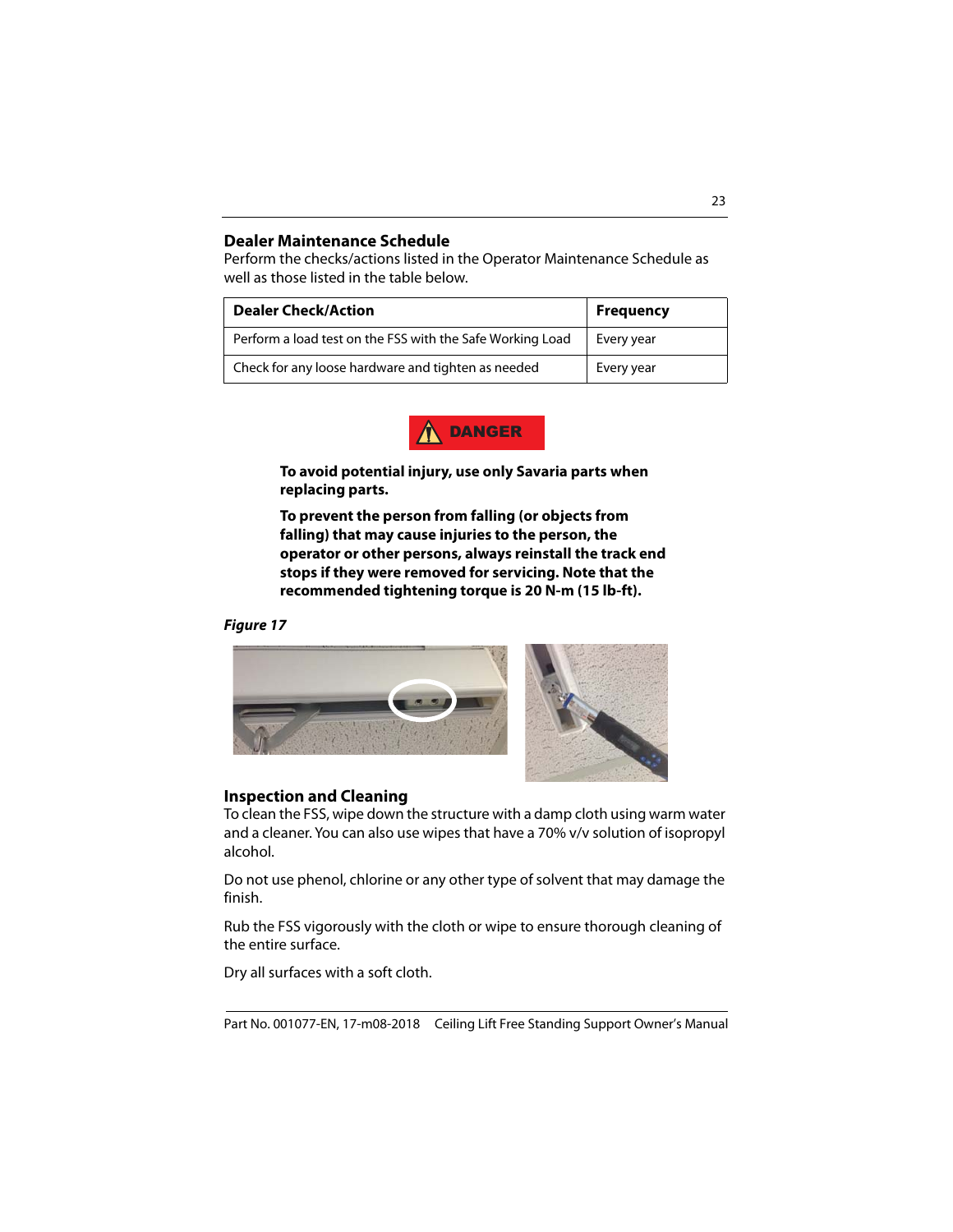#### <span id="page-22-0"></span>**Dealer Maintenance Schedule**

Perform the checks/actions listed in the Operator Maintenance Schedule as well as those listed in the table below.

| <b>Dealer Check/Action</b>                                | <b>Frequency</b> |
|-----------------------------------------------------------|------------------|
| Perform a load test on the FSS with the Safe Working Load | Every year       |
| Check for any loose hardware and tighten as needed        | Every year       |



**To avoid potential injury, use only Savaria parts when replacing parts.**

**To prevent the person from falling (or objects from falling) that may cause injuries to the person, the operator or other persons, always reinstall the track end stops if they were removed for servicing. Note that the recommended tightening torque is 20 N-m (15 lb-ft).**

#### **Figure 17**





#### <span id="page-22-1"></span>**Inspection and Cleaning**

To clean the FSS, wipe down the structure with a damp cloth using warm water and a cleaner. You can also use wipes that have a 70% v/v solution of isopropyl alcohol.

Do not use phenol, chlorine or any other type of solvent that may damage the finish.

Rub the FSS vigorously with the cloth or wipe to ensure thorough cleaning of the entire surface.

Dry all surfaces with a soft cloth.